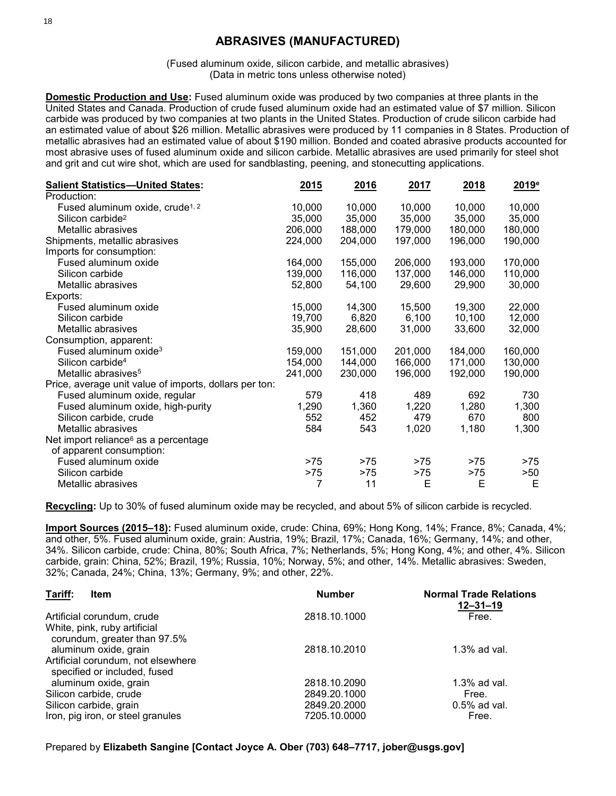# **ABRASIVES (MANUFACTURED)**

(Fused aluminum oxide, silicon carbide, and metallic abrasives) (Data in metric tons unless otherwise noted)

**Domestic Production and Use:** Fused aluminum oxide was produced by two companies at three plants in the United States and Canada. Production of crude fused aluminum oxide had an estimated value of \$7 million. Silicon carbide was produced by two companies at two plants in the United States. Production of crude silicon carbide had an estimated value of about \$26 million. Metallic abrasives were produced by 11 companies in 8 States. Production of metallic abrasives had an estimated value of about \$190 million. Bonded and coated abrasive products accounted for most abrasive uses of fused aluminum oxide and silicon carbide. Metallic abrasives are used primarily for steel shot and grit and cut wire shot, which are used for sandblasting, peening, and stonecutting applications.

| <b>Salient Statistics-United States:</b>               | 2015    | 2016    | 2017    | 2018    | $2019^e$ |
|--------------------------------------------------------|---------|---------|---------|---------|----------|
| Production:                                            |         |         |         |         |          |
| Fused aluminum oxide, crude <sup>1, 2</sup>            | 10,000  | 10,000  | 10,000  | 10,000  | 10,000   |
| Silicon carbide <sup>2</sup>                           | 35,000  | 35,000  | 35,000  | 35,000  | 35,000   |
| Metallic abrasives                                     | 206,000 | 188,000 | 179,000 | 180,000 | 180,000  |
| Shipments, metallic abrasives                          | 224,000 | 204,000 | 197,000 | 196,000 | 190,000  |
| Imports for consumption:                               |         |         |         |         |          |
| Fused aluminum oxide                                   | 164,000 | 155,000 | 206,000 | 193,000 | 170,000  |
| Silicon carbide                                        | 139,000 | 116,000 | 137,000 | 146,000 | 110,000  |
| Metallic abrasives                                     | 52,800  | 54,100  | 29,600  | 29,900  | 30,000   |
| Exports:                                               |         |         |         |         |          |
| Fused aluminum oxide                                   | 15,000  | 14,300  | 15,500  | 19,300  | 22,000   |
| Silicon carbide                                        | 19,700  | 6,820   | 6,100   | 10,100  | 12,000   |
| Metallic abrasives                                     | 35,900  | 28,600  | 31,000  | 33,600  | 32,000   |
| Consumption, apparent:                                 |         |         |         |         |          |
| Fused aluminum oxide <sup>3</sup>                      | 159,000 | 151,000 | 201,000 | 184,000 | 160,000  |
| Silicon carbide <sup>4</sup>                           | 154,000 | 144,000 | 166,000 | 171,000 | 130,000  |
| Metallic abrasives <sup>5</sup>                        | 241,000 | 230,000 | 196,000 | 192,000 | 190,000  |
| Price, average unit value of imports, dollars per ton: |         |         |         |         |          |
| Fused aluminum oxide, regular                          | 579     | 418     | 489     | 692     | 730      |
| Fused aluminum oxide, high-purity                      | 1,290   | 1,360   | 1,220   | 1,280   | 1,300    |
| Silicon carbide, crude                                 | 552     | 452     | 479     | 670     | 800      |
| Metallic abrasives                                     | 584     | 543     | 1,020   | 1,180   | 1,300    |
| Net import reliance <sup>6</sup> as a percentage       |         |         |         |         |          |
| of apparent consumption:                               |         |         |         |         |          |
| Fused aluminum oxide                                   | $>75$   | >75     | >75     | >75     | $>75$    |
| Silicon carbide                                        | $>75$   | $>75$   | >75     | $>75$   | >50      |
| Metallic abrasives                                     | 7       | 11      | E       | E       | Е        |

**Recycling:** Up to 30% of fused aluminum oxide may be recycled, and about 5% of silicon carbide is recycled.

**Import Sources (2015–18):** Fused aluminum oxide, crude: China, 69%; Hong Kong, 14%; France, 8%; Canada, 4%; and other, 5%. Fused aluminum oxide, grain: Austria, 19%; Brazil, 17%; Canada, 16%; Germany, 14%; and other, 34%. Silicon carbide, crude: China, 80%; South Africa, 7%; Netherlands, 5%; Hong Kong, 4%; and other, 4%. Silicon carbide, grain: China, 52%; Brazil, 19%; Russia, 10%; Norway, 5%; and other, 14%. Metallic abrasives: Sweden, 32%; Canada, 24%; China, 13%; Germany, 9%; and other, 22%.

| Tariff:<br><b>Item</b>                                             | <b>Number</b> | <b>Normal Trade Relations</b><br>$12 - 31 - 19$ |  |  |
|--------------------------------------------------------------------|---------------|-------------------------------------------------|--|--|
| Artificial corundum, crude                                         | 2818.10.1000  | Free.                                           |  |  |
| White, pink, ruby artificial<br>corundum, greater than 97.5%       |               |                                                 |  |  |
| aluminum oxide, grain                                              | 2818.10.2010  | $1.3\%$ ad val.                                 |  |  |
| Artificial corundum, not elsewhere<br>specified or included, fused |               |                                                 |  |  |
| aluminum oxide, grain                                              | 2818.10.2090  | $1.3\%$ ad val.                                 |  |  |
| Silicon carbide, crude                                             | 2849.20.1000  | Free.                                           |  |  |
| Silicon carbide, grain                                             | 2849.20.2000  | $0.5\%$ ad val.                                 |  |  |
| Iron, pig iron, or steel granules                                  | 7205.10.0000  | Free.                                           |  |  |

Prepared by **Elizabeth Sangine [Contact Joyce A. Ober (703) 648–7717, jober@usgs.gov]**